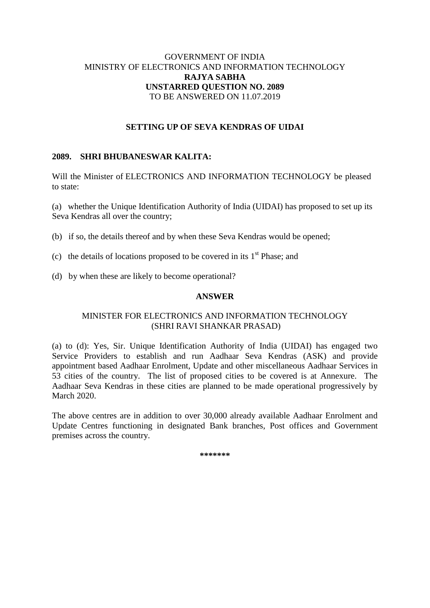## GOVERNMENT OF INDIA MINISTRY OF ELECTRONICS AND INFORMATION TECHNOLOGY **RAJYA SABHA UNSTARRED QUESTION NO. 2089** TO BE ANSWERED ON 11.07.2019

## **SETTING UP OF SEVA KENDRAS OF UIDAI**

## **2089. SHRI BHUBANESWAR KALITA:**

Will the Minister of ELECTRONICS AND INFORMATION TECHNOLOGY be pleased to state:

(a) whether the Unique Identification Authority of India (UIDAI) has proposed to set up its Seva Kendras all over the country;

- (b) if so, the details thereof and by when these Seva Kendras would be opened;
- (c) the details of locations proposed to be covered in its  $1<sup>st</sup>$  Phase; and
- (d) by when these are likely to become operational?

#### **ANSWER**

## MINISTER FOR ELECTRONICS AND INFORMATION TECHNOLOGY (SHRI RAVI SHANKAR PRASAD)

(a) to (d): Yes, Sir. Unique Identification Authority of India (UIDAI) has engaged two Service Providers to establish and run Aadhaar Seva Kendras (ASK) and provide appointment based Aadhaar Enrolment, Update and other miscellaneous Aadhaar Services in 53 cities of the country. The list of proposed cities to be covered is at Annexure. The Aadhaar Seva Kendras in these cities are planned to be made operational progressively by March 2020.

The above centres are in addition to over 30,000 already available Aadhaar Enrolment and Update Centres functioning in designated Bank branches, Post offices and Government premises across the country.

**\*\*\*\*\*\*\***